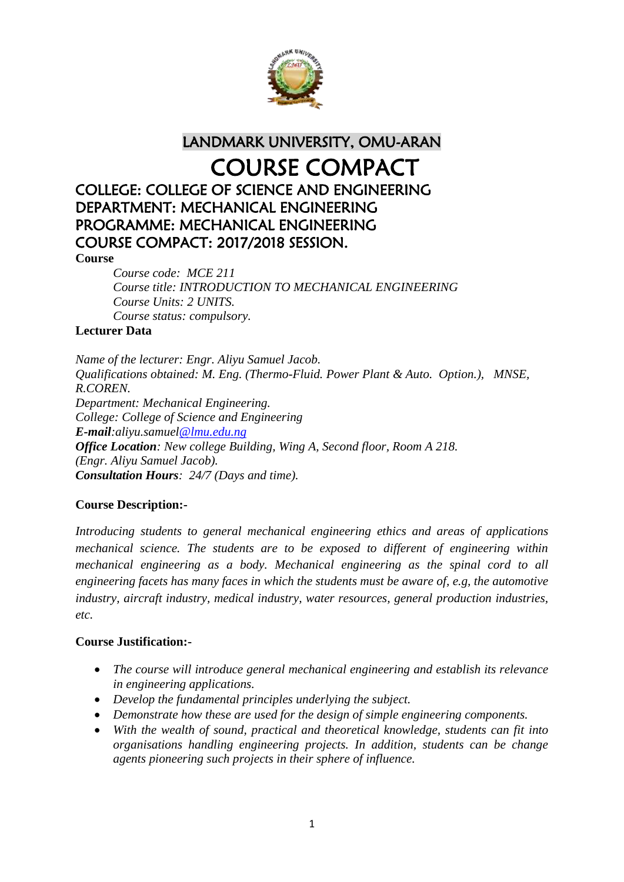

LANDMARK UNIVERSITY, OMU-ARAN

# COURSE COMPACT

# COLLEGE: COLLEGE OF SCIENCE AND ENGINEERING DEPARTMENT: MECHANICAL ENGINEERING PROGRAMME: MECHANICAL ENGINEERING COURSE COMPACT: 2017/2018 SESSION.

#### **Course**

*Course code: MCE 211 Course title: INTRODUCTION TO MECHANICAL ENGINEERING Course Units: 2 UNITS. Course status: compulsory.*

# **Lecturer Data**

*Name of the lecturer: Engr. Aliyu Samuel Jacob. Qualifications obtained: M. Eng. (Thermo-Fluid. Power Plant & Auto. Option.), MNSE, R.COREN. Department: Mechanical Engineering. College: College of Science and Engineering E-mail:aliyu.samuel@lmu.edu.ng Office Location: New college Building, Wing A, Second floor, Room A 218. (Engr. Aliyu Samuel Jacob). Consultation Hours: 24/7 (Days and time).*

# **Course Description:-**

*Introducing students to general mechanical engineering ethics and areas of applications mechanical science. The students are to be exposed to different of engineering within mechanical engineering as a body. Mechanical engineering as the spinal cord to all engineering facets has many faces in which the students must be aware of, e.g, the automotive industry, aircraft industry, medical industry, water resources, general production industries, etc.*

# **Course Justification:-**

- *The course will introduce general mechanical engineering and establish its relevance in engineering applications.*
- *Develop the fundamental principles underlying the subject.*
- *Demonstrate how these are used for the design of simple engineering components.*
- *With the wealth of sound, practical and theoretical knowledge, students can fit into organisations handling engineering projects. In addition, students can be change agents pioneering such projects in their sphere of influence.*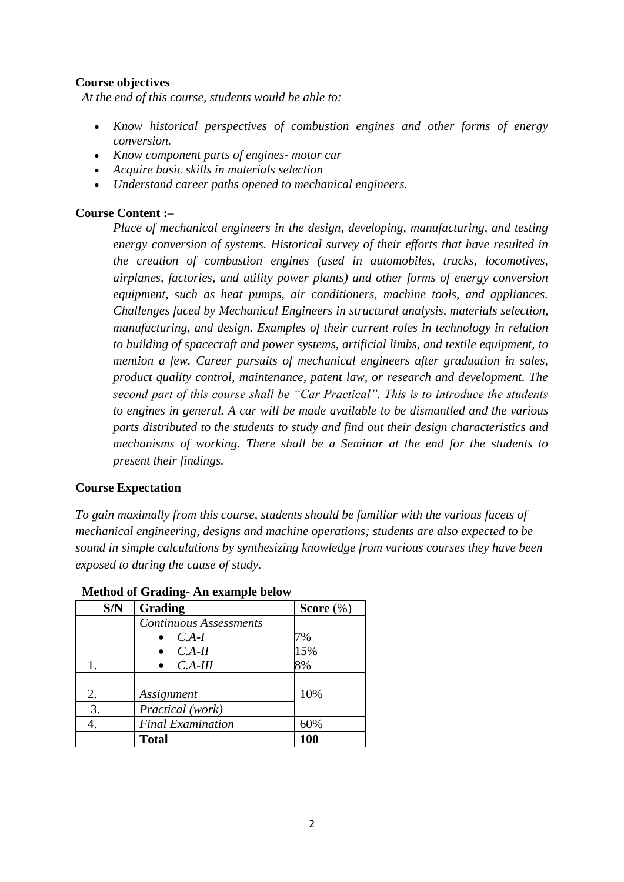# **Course objectives**

*At the end of this course, students would be able to:* 

- *Know historical perspectives of combustion engines and other forms of energy conversion.*
- *Know component parts of engines- motor car*
- *Acquire basic skills in materials selection*
- *Understand career paths opened to mechanical engineers.*

# **Course Content :–**

*Place of mechanical engineers in the design, developing, manufacturing, and testing energy conversion of systems. Historical survey of their efforts that have resulted in the creation of combustion engines (used in automobiles, trucks, locomotives, airplanes, factories, and utility power plants) and other forms of energy conversion equipment, such as heat pumps, air conditioners, machine tools, and appliances. Challenges faced by Mechanical Engineers in structural analysis, materials selection, manufacturing, and design. Examples of their current roles in technology in relation to building of spacecraft and power systems, artificial limbs, and textile equipment, to mention a few. Career pursuits of mechanical engineers after graduation in sales, product quality control, maintenance, patent law, or research and development. The second part of this course shall be "Car Practical". This is to introduce the students to engines in general. A car will be made available to be dismantled and the various parts distributed to the students to study and find out their design characteristics and mechanisms of working. There shall be a Seminar at the end for the students to present their findings.*

# **Course Expectation**

*To gain maximally from this course, students should be familiar with the various facets of mechanical engineering, designs and machine operations; students are also expected to be sound in simple calculations by synthesizing knowledge from various courses they have been exposed to during the cause of study.* 

| S/N | Grading                       | Score $(\%)$ |
|-----|-------------------------------|--------------|
|     | <b>Continuous Assessments</b> |              |
|     | $C.A-I$                       | 7%           |
|     | $C.A-II$                      | 15%          |
| 1.  | $C.A-III$                     | 8%           |
| 2.  | Assignment                    | 10%          |
| 3.  | Practical (work)              |              |
| 4.  | <b>Final Examination</b>      | 60%          |
|     | <b>Total</b>                  | 100          |

#### **Method of Grading- An example below**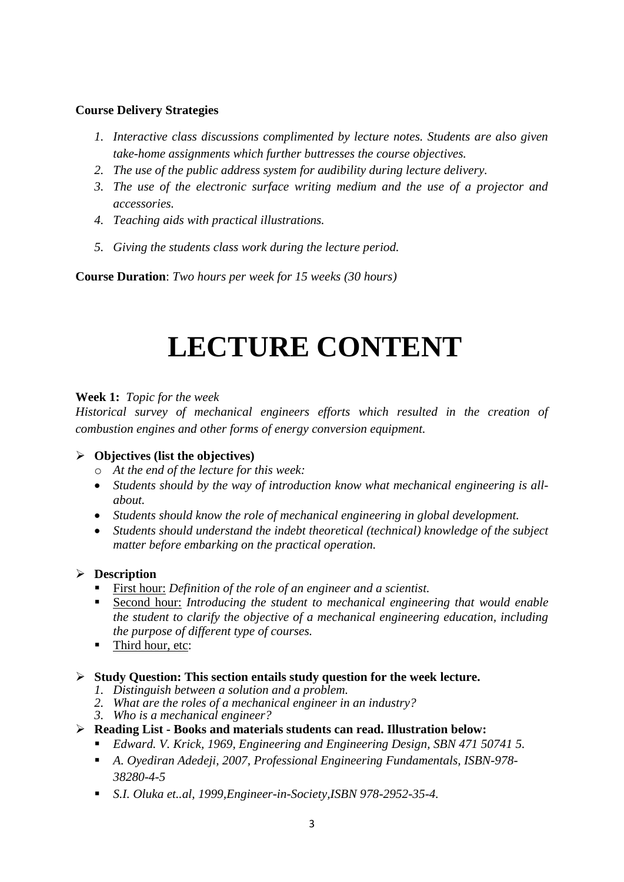# **Course Delivery Strategies**

- *1. Interactive class discussions complimented by lecture notes. Students are also given take-home assignments which further buttresses the course objectives.*
- *2. The use of the public address system for audibility during lecture delivery.*
- *3. The use of the electronic surface writing medium and the use of a projector and accessories.*
- *4. Teaching aids with practical illustrations.*
- *5. Giving the students class work during the lecture period.*

**Course Duration**: *Two hours per week for 15 weeks (30 hours)*

# **LECTURE CONTENT**

# **Week 1:** *Topic for the week*

*Historical survey of mechanical engineers efforts which resulted in the creation of combustion engines and other forms of energy conversion equipment.*

# **Objectives (list the objectives)**

- o *At the end of the lecture for this week:*
- *Students should by the way of introduction know what mechanical engineering is allabout.*
- *Students should know the role of mechanical engineering in global development.*
- *Students should understand the indebt theoretical (technical) knowledge of the subject matter before embarking on the practical operation.*

# **Description**

- First hour: *Definition of the role of an engineer and a scientist.*
- Second hour: *Introducing the student to mechanical engineering that would enable the student to clarify the objective of a mechanical engineering education, including the purpose of different type of courses.*
- Third hour, etc:

# **Study Question: This section entails study question for the week lecture.**

- *1. Distinguish between a solution and a problem.*
- *2. What are the roles of a mechanical engineer in an industry?*
- *3. Who is a mechanical engineer?*
- **Reading List - Books and materials students can read. Illustration below:**
	- *Edward. V. Krick, 1969, Engineering and Engineering Design, SBN 471 50741 5.*
	- *A. Oyediran Adedeji, 2007, Professional Engineering Fundamentals, ISBN-978- 38280-4-5*
	- *S.I. Oluka et..al, 1999,Engineer-in-Society,ISBN 978-2952-35-4.*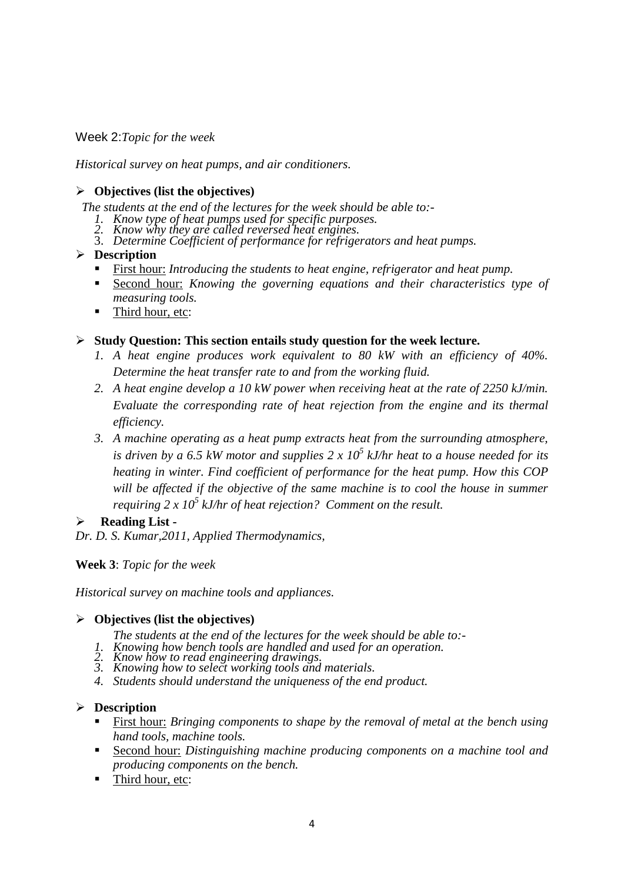Week 2:*Topic for the week*

*Historical survey on heat pumps, and air conditioners.* 

# **Objectives (list the objectives)**

*The students at the end of the lectures for the week should be able to:-*

- *1. Know type of heat pumps used for specific purposes.*
- *2. Know why they are called reversed heat engines.*
- 3. *Determine Coefficient of performance for refrigerators and heat pumps.*

# **Description**

- First hour: *Introducing the students to heat engine, refrigerator and heat pump.*
- Second hour: *Knowing the governing equations and their characteristics type of measuring tools.*
- Third hour, etc:

# **Study Question: This section entails study question for the week lecture.**

- *1. A heat engine produces work equivalent to 80 kW with an efficiency of 40%. Determine the heat transfer rate to and from the working fluid.*
- *2. A heat engine develop a 10 kW power when receiving heat at the rate of 2250 kJ/min. Evaluate the corresponding rate of heat rejection from the engine and its thermal efficiency.*
- *3. A machine operating as a heat pump extracts heat from the surrounding atmosphere, is driven by a 6.5 kW motor and supplies 2 x 10<sup>5</sup> kJ/hr heat to a house needed for its heating in winter. Find coefficient of performance for the heat pump. How this COP will be affected if the objective of the same machine is to cool the house in summer requiring 2 x 10<sup>5</sup> kJ/hr of heat rejection? Comment on the result.*

# **Reading List -**

*Dr. D. S. Kumar,2011, Applied Thermodynamics,*

# **Week 3**: *Topic for the week*

*Historical survey on machine tools and appliances.*

# **Objectives (list the objectives)**

- *The students at the end of the lectures for the week should be able to:-*
- *1. Knowing how bench tools are handled and used for an operation.*
- *2. Know how to read engineering drawings.*
- *3. Knowing how to select working tools and materials.*
- *4. Students should understand the uniqueness of the end product.*

# **Description**

- First hour: *Bringing components to shape by the removal of metal at the bench using hand tools, machine tools.*
- Second hour: *Distinguishing machine producing components on a machine tool and producing components on the bench.*
- Third hour, etc: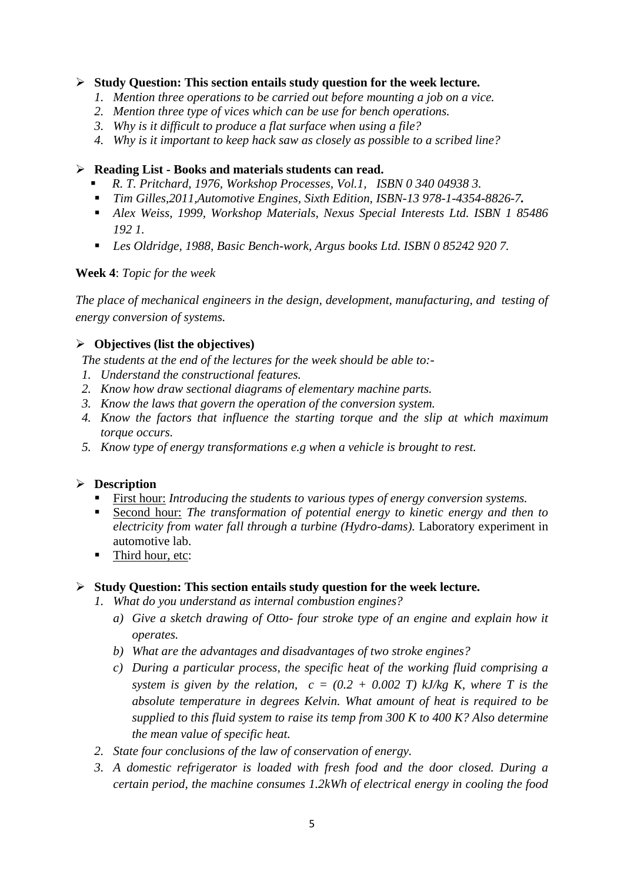# **Study Question: This section entails study question for the week lecture.**

- *1. Mention three operations to be carried out before mounting a job on a vice.*
- *2. Mention three type of vices which can be use for bench operations.*
- *3. Why is it difficult to produce a flat surface when using a file?*
- *4. Why is it important to keep hack saw as closely as possible to a scribed line?*

#### **Reading List - Books and materials students can read.**

- *R. T. Pritchard, 1976, Workshop Processes, Vol.1, ISBN 0 340 04938 3.*
- *Tim Gilles,2011,Automotive Engines, Sixth Edition, ISBN-13 978-1-4354-8826-7.*
- *Alex Weiss, 1999, Workshop Materials, Nexus Special Interests Ltd. ISBN 1 85486 192 1.*
- *Les Oldridge, 1988, Basic Bench-work, Argus books Ltd. ISBN 0 85242 920 7.*

#### **Week 4**: *Topic for the week*

*The place of mechanical engineers in the design, development, manufacturing, and testing of energy conversion of systems.* 

# **Objectives (list the objectives)**

*The students at the end of the lectures for the week should be able to:-*

- *1. Understand the constructional features.*
- *2. Know how draw sectional diagrams of elementary machine parts.*
- *3. Know the laws that govern the operation of the conversion system.*
- *4. Know the factors that influence the starting torque and the slip at which maximum torque occurs.*
- *5. Know type of energy transformations e.g when a vehicle is brought to rest.*

# **Description**

- First hour: *Introducing the students to various types of energy conversion systems.*
- Second hour: *The transformation of potential energy to kinetic energy and then to electricity from water fall through a turbine (Hydro-dams).* Laboratory experiment in automotive lab.
- Third hour, etc:

#### **Study Question: This section entails study question for the week lecture.**

- *1. What do you understand as internal combustion engines?*
	- *a) Give a sketch drawing of Otto- four stroke type of an engine and explain how it operates.*
	- *b) What are the advantages and disadvantages of two stroke engines?*
	- *c) During a particular process, the specific heat of the working fluid comprising a system is given by the relation,*  $c = (0.2 + 0.002)$  *T) kJ/kg K, where T is the absolute temperature in degrees Kelvin. What amount of heat is required to be supplied to this fluid system to raise its temp from 300 K to 400 K? Also determine the mean value of specific heat.*
- *2. State four conclusions of the law of conservation of energy.*
- *3. A domestic refrigerator is loaded with fresh food and the door closed. During a certain period, the machine consumes 1.2kWh of electrical energy in cooling the food*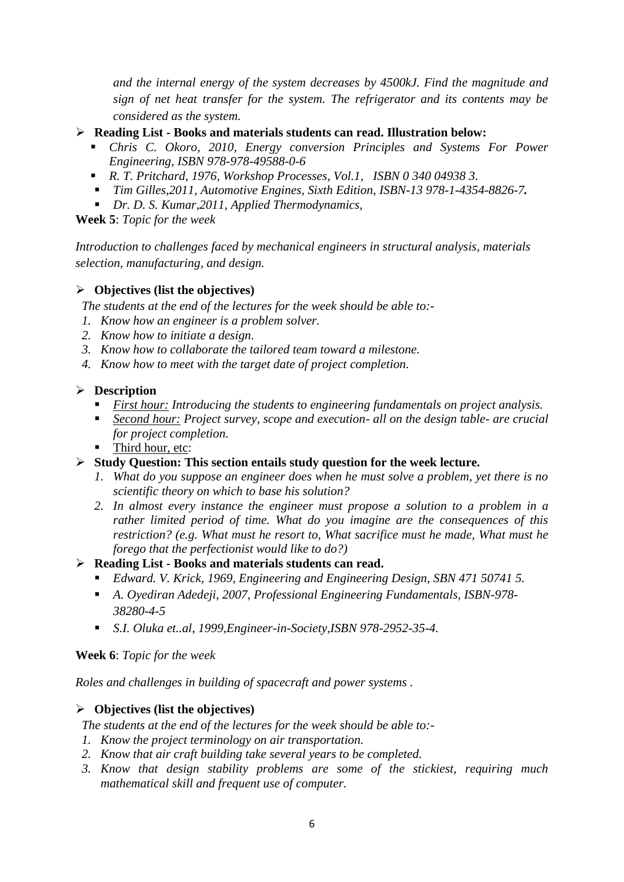*and the internal energy of the system decreases by 4500kJ. Find the magnitude and sign of net heat transfer for the system. The refrigerator and its contents may be considered as the system.*

- **Reading List - Books and materials students can read. Illustration below:**
	- *Chris C. Okoro, 2010, Energy conversion Principles and Systems For Power Engineering, ISBN 978-978-49588-0-6*
	- *R. T. Pritchard, 1976, Workshop Processes, Vol.1, ISBN 0 340 04938 3.*
	- *Tim Gilles,2011, Automotive Engines, Sixth Edition, ISBN-13 978-1-4354-8826-7.*
	- *Dr. D. S. Kumar,2011, Applied Thermodynamics,*

**Week 5**: *Topic for the week*

*Introduction to challenges faced by mechanical engineers in structural analysis, materials selection, manufacturing, and design.* 

#### **Objectives (list the objectives)**

*The students at the end of the lectures for the week should be able to:-*

- *1. Know how an engineer is a problem solver.*
- *2. Know how to initiate a design.*
- *3. Know how to collaborate the tailored team toward a milestone.*
- *4. Know how to meet with the target date of project completion.*

#### **Description**

- *First hour: Introducing the students to engineering fundamentals on project analysis.*
- *Second hour: Project survey, scope and execution- all on the design table- are crucial for project completion.*
- Third hour, etc:
- **Study Question: This section entails study question for the week lecture.**
	- *1. What do you suppose an engineer does when he must solve a problem, yet there is no scientific theory on which to base his solution?*
	- *2. In almost every instance the engineer must propose a solution to a problem in a rather limited period of time. What do you imagine are the consequences of this restriction? (e.g. What must he resort to, What sacrifice must he made, What must he forego that the perfectionist would like to do?)*

#### **Reading List - Books and materials students can read.**

- *Edward. V. Krick, 1969, Engineering and Engineering Design, SBN 471 50741 5.*
- *A. Oyediran Adedeji, 2007, Professional Engineering Fundamentals, ISBN-978- 38280-4-5*
- *S.I. Oluka et..al, 1999,Engineer-in-Society,ISBN 978-2952-35-4.*

#### **Week 6**: *Topic for the week*

*Roles and challenges in building of spacecraft and power systems .*

# **Objectives (list the objectives)**

*The students at the end of the lectures for the week should be able to:-*

- *1. Know the project terminology on air transportation.*
- *2. Know that air craft building take several years to be completed.*
- *3. Know that design stability problems are some of the stickiest, requiring much mathematical skill and frequent use of computer.*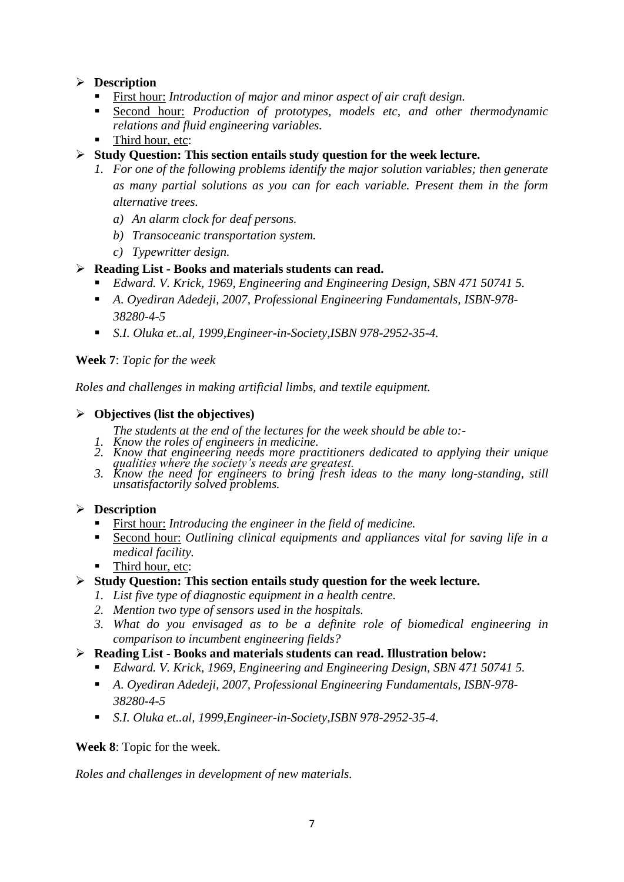# **Description**

- First hour: *Introduction of major and minor aspect of air craft design.*
- Second hour: *Production of prototypes, models etc, and other thermodynamic relations and fluid engineering variables.*
- Third hour, etc:
- **Study Question: This section entails study question for the week lecture.**
	- *1. For one of the following problems identify the major solution variables; then generate as many partial solutions as you can for each variable. Present them in the form alternative trees.*
		- *a) An alarm clock for deaf persons.*
		- *b) Transoceanic transportation system.*
		- *c) Typewritter design.*

#### **Reading List - Books and materials students can read.**

- *Edward. V. Krick, 1969, Engineering and Engineering Design, SBN 471 50741 5.*
- *A. Oyediran Adedeji, 2007, Professional Engineering Fundamentals, ISBN-978- 38280-4-5*
- *S.I. Oluka et..al, 1999,Engineer-in-Society,ISBN 978-2952-35-4.*

**Week 7**: *Topic for the week*

*Roles and challenges in making artificial limbs, and textile equipment.*

#### **Objectives (list the objectives)**

- *The students at the end of the lectures for the week should be able to:-*
- *1. Know the roles of engineers in medicine.*
- *2. Know that engineering needs more practitioners dedicated to applying their unique qualities where the society's needs are greatest.*
- *3. Know the need for engineers to bring fresh ideas to the many long-standing, still unsatisfactorily solved problems.*

# **Description**

- First hour: *Introducing the engineer in the field of medicine.*
- Second hour: *Outlining clinical equipments and appliances vital for saving life in a medical facility.*
- Third hour, etc:

# **Study Question: This section entails study question for the week lecture.**

- *1. List five type of diagnostic equipment in a health centre.*
- *2. Mention two type of sensors used in the hospitals.*
- *3. What do you envisaged as to be a definite role of biomedical engineering in comparison to incumbent engineering fields?*
- **Reading List - Books and materials students can read. Illustration below:**
	- *Edward. V. Krick, 1969, Engineering and Engineering Design, SBN 471 50741 5.*
	- *A. Oyediran Adedeji, 2007, Professional Engineering Fundamentals, ISBN-978- 38280-4-5*
	- *S.I. Oluka et..al, 1999,Engineer-in-Society,ISBN 978-2952-35-4.*

**Week 8**: Topic for the week.

*Roles and challenges in development of new materials.*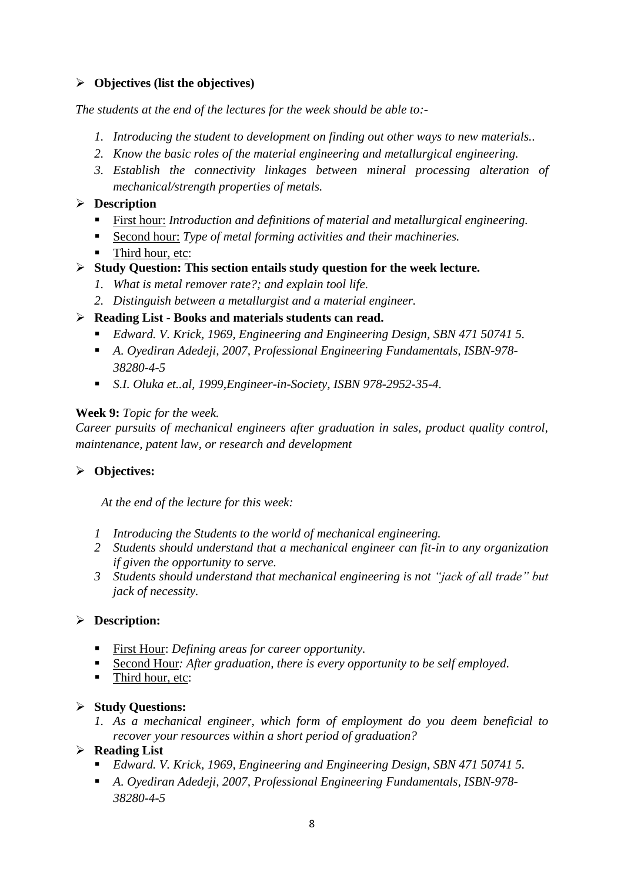# **Objectives (list the objectives)**

*The students at the end of the lectures for the week should be able to:-*

- *1. Introducing the student to development on finding out other ways to new materials..*
- *2. Know the basic roles of the material engineering and metallurgical engineering.*
- *3. Establish the connectivity linkages between mineral processing alteration of mechanical/strength properties of metals.*
- **Description**
	- First hour: *Introduction and definitions of material and metallurgical engineering.*
	- Second hour: *Type of metal forming activities and their machineries.*
	- Third hour, etc:
- **Study Question: This section entails study question for the week lecture.**
	- *1. What is metal remover rate?; and explain tool life.*
	- *2. Distinguish between a metallurgist and a material engineer.*
- **Reading List - Books and materials students can read.** 
	- *Edward. V. Krick, 1969, Engineering and Engineering Design, SBN 471 50741 5.*
	- *A. Oyediran Adedeji, 2007, Professional Engineering Fundamentals, ISBN-978- 38280-4-5*
	- *S.I. Oluka et..al, 1999,Engineer-in-Society, ISBN 978-2952-35-4.*

#### **Week 9:** *Topic for the week.*

*Career pursuits of mechanical engineers after graduation in sales, product quality control, maintenance, patent law, or research and development* 

# **Objectives:**

*At the end of the lecture for this week:*

- *1 Introducing the Students to the world of mechanical engineering.*
- *2 Students should understand that a mechanical engineer can fit-in to any organization if given the opportunity to serve.*
- *3 Students should understand that mechanical engineering is not "jack of all trade" but jack of necessity.*

# **Description:**

- First Hour: *Defining areas for career opportunity.*
- Second Hour*: After graduation, there is every opportunity to be self employed.*
- Third hour, etc:

# **Study Questions:**

- *1. As a mechanical engineer, which form of employment do you deem beneficial to recover your resources within a short period of graduation?*
- **Reading List** 
	- *Edward. V. Krick, 1969, Engineering and Engineering Design, SBN 471 50741 5.*
	- *A. Oyediran Adedeji, 2007, Professional Engineering Fundamentals, ISBN-978- 38280-4-5*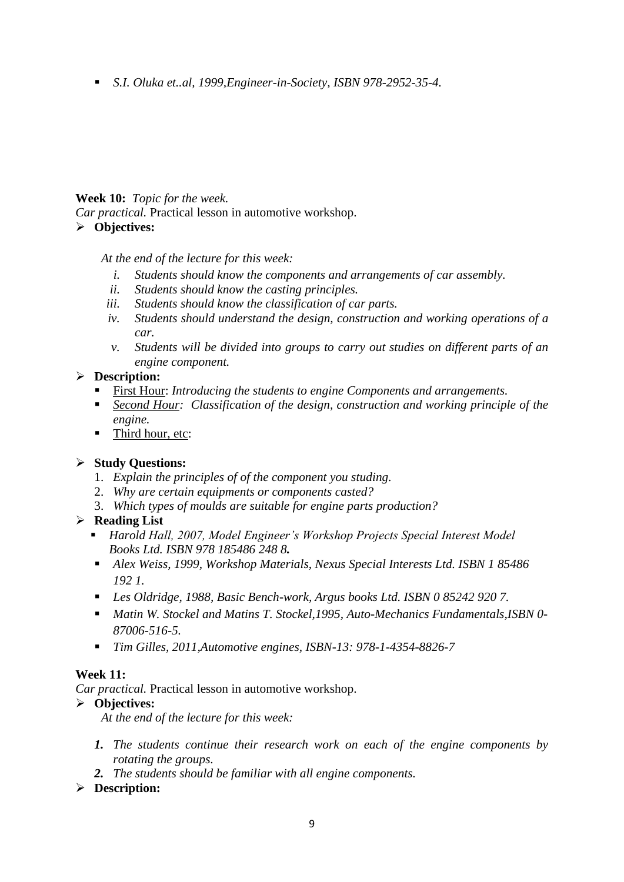*S.I. Oluka et..al, 1999,Engineer-in-Society, ISBN 978-2952-35-4.* 

# **Week 10:** *Topic for the week.*

*Car practical.* Practical lesson in automotive workshop.

# **Objectives:**

*At the end of the lecture for this week:*

- *i. Students should know the components and arrangements of car assembly.*
- *ii. Students should know the casting principles.*
- *iii. Students should know the classification of car parts.*
- *iv. Students should understand the design, construction and working operations of a car.*
- *v. Students will be divided into groups to carry out studies on different parts of an engine component.*

# **Description:**

- First Hour: *Introducing the students to engine Components and arrangements.*
- *Second Hour: Classification of the design, construction and working principle of the engine.*
- Third hour, etc:

# **Study Questions:**

- 1. *Explain the principles of of the component you studing.*
- 2. *Why are certain equipments or components casted?*
- 3. *Which types of moulds are suitable for engine parts production?*

# **Reading List**

- *Harold Hall, 2007, Model Engineer's Workshop Projects Special Interest Model Books Ltd. ISBN 978 185486 248 8.*
- *Alex Weiss, 1999, Workshop Materials, Nexus Special Interests Ltd. ISBN 1 85486 192 1.*
- *Les Oldridge, 1988, Basic Bench-work, Argus books Ltd. ISBN 0 85242 920 7.*
- *Matin W. Stockel and Matins T. Stockel,1995, Auto-Mechanics Fundamentals,ISBN 0- 87006-516-5.*
- *Tim Gilles, 2011,Automotive engines, ISBN-13: 978-1-4354-8826-7*

# **Week 11:**

*Car practical.* Practical lesson in automotive workshop.

# **Objectives:**

*At the end of the lecture for this week:*

- *1. The students continue their research work on each of the engine components by rotating the groups.*
- *2. The students should be familiar with all engine components.*

# **Description:**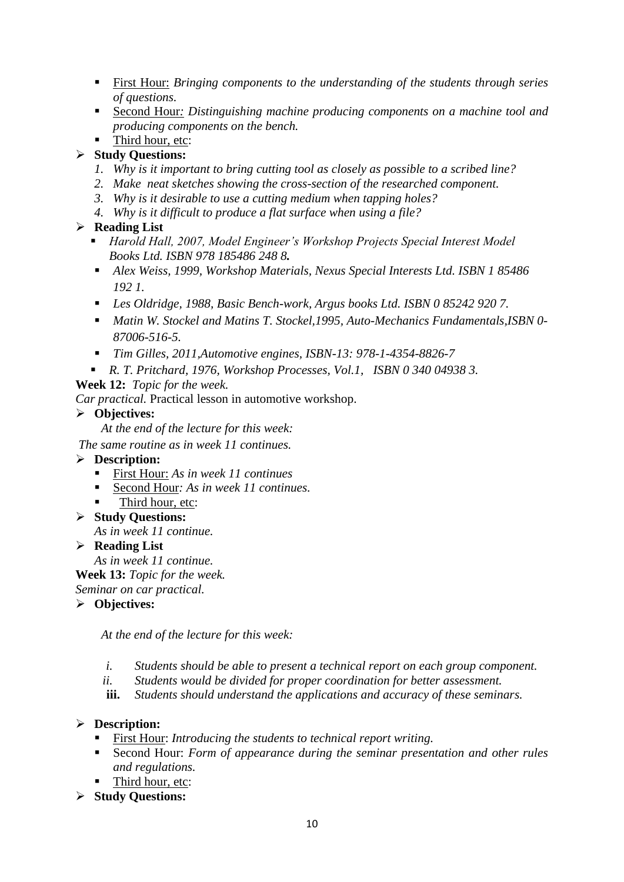- First Hour: *Bringing components to the understanding of the students through series of questions.*
- Second Hour*: Distinguishing machine producing components on a machine tool and producing components on the bench.*
- Third hour, etc:

# **Study Questions:**

- *1. Why is it important to bring cutting tool as closely as possible to a scribed line?*
- *2. Make neat sketches showing the cross-section of the researched component.*
- *3. Why is it desirable to use a cutting medium when tapping holes?*
- *4. Why is it difficult to produce a flat surface when using a file?*

# **Reading List**

- *Harold Hall, 2007, Model Engineer's Workshop Projects Special Interest Model Books Ltd. ISBN 978 185486 248 8.*
- *Alex Weiss, 1999, Workshop Materials, Nexus Special Interests Ltd. ISBN 1 85486 192 1.*
- *Les Oldridge, 1988, Basic Bench-work, Argus books Ltd. ISBN 0 85242 920 7.*
- *Matin W. Stockel and Matins T. Stockel,1995, Auto-Mechanics Fundamentals,ISBN 0- 87006-516-5.*
- *Tim Gilles, 2011,Automotive engines, ISBN-13: 978-1-4354-8826-7*
- *R. T. Pritchard, 1976, Workshop Processes, Vol.1, ISBN 0 340 04938 3.*

# **Week 12:** *Topic for the week.*

*Car practical.* Practical lesson in automotive workshop.

# **Objectives:**

*At the end of the lecture for this week:*

*The same routine as in week 11 continues.*

# **Description:**

- First Hour: *As in week 11 continues*
- Second Hour*: As in week 11 continues.*
- Third hour, etc:
- **Study Questions:**

*As in week 11 continue.*

**Reading List** 

*As in week 11 continue.*

**Week 13:** *Topic for the week.*

*Seminar on car practical.*

**Objectives:** 

*At the end of the lecture for this week:*

- *i. Students should be able to present a technical report on each group component.*
- *ii. Students would be divided for proper coordination for better assessment.*
- **iii.** *Students should understand the applications and accuracy of these seminars.*

# **Description:**

- First Hour: *Introducing the students to technical report writing.*
- Second Hour: *Form of appearance during the seminar presentation and other rules and regulations.*
- Third hour, etc:
- **Study Questions:**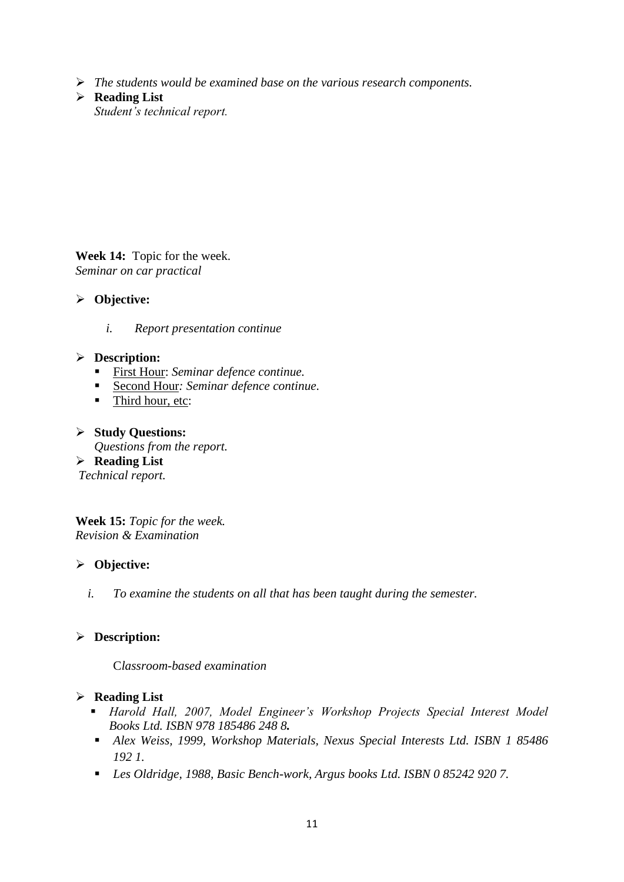- *The students would be examined base on the various research components.*
- **Reading List**  *Student's technical report.*

**Week 14:** Topic for the week. *Seminar on car practical*

- **Objective:** 
	- *i. Report presentation continue*

#### **Description:**

- First Hour: *Seminar defence continue.*
- Second Hour*: Seminar defence continue.*
- Third hour, etc:
- **Study Questions:**

*Questions from the report.*

**Reading List** 

*Technical report.*

**Week 15:** *Topic for the week. Revision & Examination*

#### **Objective:**

*i. To examine the students on all that has been taught during the semester.*

# **Description:**

C*lassroom-based examination*

#### **Reading List**

- *Harold Hall, 2007, Model Engineer's Workshop Projects Special Interest Model Books Ltd. ISBN 978 185486 248 8.*
- *Alex Weiss, 1999, Workshop Materials, Nexus Special Interests Ltd. ISBN 1 85486 192 1.*
- *Les Oldridge, 1988, Basic Bench-work, Argus books Ltd. ISBN 0 85242 920 7.*